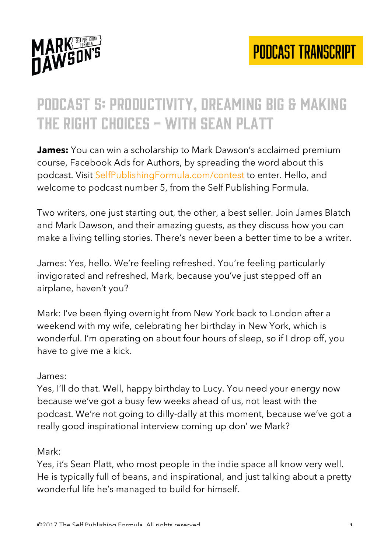

### Podcast 5: Productivity, dreaming big & making THE RIGHT CHOICES - WITH SEAN PLATT

**James:** You can win a scholarship to Mark Dawson's acclaimed premium course, Facebook Ads for Authors, by spreading the word about this podcast. Visit SelfPublishingFormula.com/contest to enter. Hello, and welcome to podcast number 5, from the Self Publishing Formula.

Two writers, one just starting out, the other, a best seller. Join James Blatch and Mark Dawson, and their amazing guests, as they discuss how you can make a living telling stories. There's never been a better time to be a writer.

James: Yes, hello. We're feeling refreshed. You're feeling particularly invigorated and refreshed, Mark, because you've just stepped off an airplane, haven't you?

Mark: I've been flying overnight from New York back to London after a weekend with my wife, celebrating her birthday in New York, which is wonderful. I'm operating on about four hours of sleep, so if I drop off, you have to give me a kick.

#### James:

Yes, I'll do that. Well, happy birthday to Lucy. You need your energy now because we've got a busy few weeks ahead of us, not least with the podcast. We're not going to dilly-dally at this moment, because we've got a really good inspirational interview coming up don' we Mark?

#### Mark:

Yes, it's Sean Platt, who most people in the indie space all know very well. He is typically full of beans, and inspirational, and just talking about a pretty wonderful life he's managed to build for himself.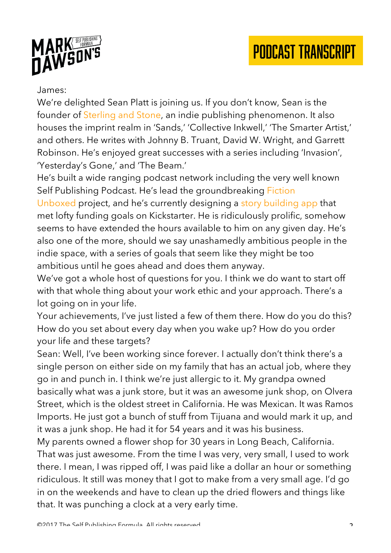



#### James:

We're delighted Sean Platt is joining us. If you don't know, Sean is the founder of Sterling and Stone, an indie publishing phenomenon. It also houses the imprint realm in 'Sands,' 'Collective Inkwell,' 'The Smarter Artist,' and others. He writes with Johnny B. Truant, David W. Wright, and Garrett Robinson. He's enjoyed great successes with a series including 'Invasion', 'Yesterday's Gone,' and 'The Beam.'

He's built a wide ranging podcast network including the very well known Self Publishing Podcast. He's lead the groundbreaking Fiction

Unboxed project, and he's currently designing a story building app that met lofty funding goals on Kickstarter. He is ridiculously prolific, somehow seems to have extended the hours available to him on any given day. He's also one of the more, should we say unashamedly ambitious people in the indie space, with a series of goals that seem like they might be too ambitious until he goes ahead and does them anyway.

We've got a whole host of questions for you. I think we do want to start off with that whole thing about your work ethic and your approach. There's a lot going on in your life.

Your achievements, I've just listed a few of them there. How do you do this? How do you set about every day when you wake up? How do you order your life and these targets?

Sean: Well, I've been working since forever. I actually don't think there's a single person on either side on my family that has an actual job, where they go in and punch in. I think we're just allergic to it. My grandpa owned basically what was a junk store, but it was an awesome junk shop, on Olvera Street, which is the oldest street in California. He was Mexican. It was Ramos Imports. He just got a bunch of stuff from Tijuana and would mark it up, and it was a junk shop. He had it for 54 years and it was his business.

My parents owned a flower shop for 30 years in Long Beach, California. That was just awesome. From the time I was very, very small, I used to work there. I mean, I was ripped off, I was paid like a dollar an hour or something ridiculous. It still was money that I got to make from a very small age. I'd go in on the weekends and have to clean up the dried flowers and things like that. It was punching a clock at a very early time.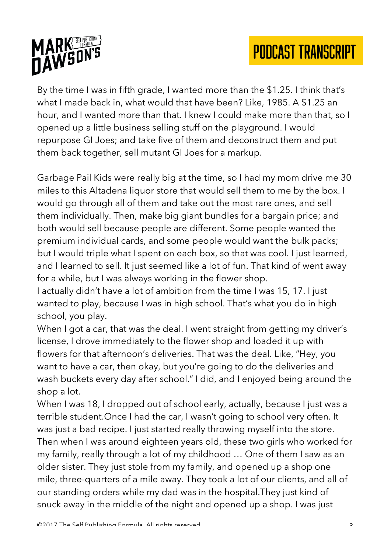



By the time I was in fifth grade, I wanted more than the \$1.25. I think that's what I made back in, what would that have been? Like, 1985. A \$1.25 an hour, and I wanted more than that. I knew I could make more than that, so I opened up a little business selling stuff on the playground. I would repurpose GI Joes; and take five of them and deconstruct them and put them back together, sell mutant GI Joes for a markup.

Garbage Pail Kids were really big at the time, so I had my mom drive me 30 miles to this Altadena liquor store that would sell them to me by the box. I would go through all of them and take out the most rare ones, and sell them individually. Then, make big giant bundles for a bargain price; and both would sell because people are different. Some people wanted the premium individual cards, and some people would want the bulk packs; but I would triple what I spent on each box, so that was cool. I just learned, and I learned to sell. It just seemed like a lot of fun. That kind of went away for a while, but I was always working in the flower shop.

I actually didn't have a lot of ambition from the time I was 15, 17. I just wanted to play, because I was in high school. That's what you do in high school, you play.

When I got a car, that was the deal. I went straight from getting my driver's license, I drove immediately to the flower shop and loaded it up with flowers for that afternoon's deliveries. That was the deal. Like, "Hey, you want to have a car, then okay, but you're going to do the deliveries and wash buckets every day after school." I did, and I enjoyed being around the shop a lot.

When I was 18, I dropped out of school early, actually, because I just was a terrible student.Once I had the car, I wasn't going to school very often. It was just a bad recipe. I just started really throwing myself into the store. Then when I was around eighteen years old, these two girls who worked for my family, really through a lot of my childhood … One of them I saw as an older sister. They just stole from my family, and opened up a shop one mile, three-quarters of a mile away. They took a lot of our clients, and all of our standing orders while my dad was in the hospital.They just kind of snuck away in the middle of the night and opened up a shop. I was just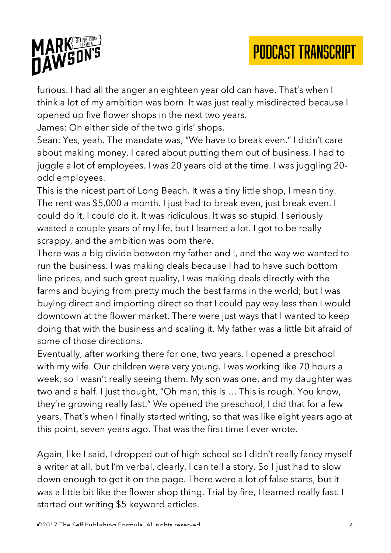

furious. I had all the anger an eighteen year old can have. That's when I think a lot of my ambition was born. It was just really misdirected because I opened up five flower shops in the next two years.

James: On either side of the two girls' shops.

Sean: Yes, yeah. The mandate was, "We have to break even." I didn't care about making money. I cared about putting them out of business. I had to juggle a lot of employees. I was 20 years old at the time. I was juggling 20 odd employees.

This is the nicest part of Long Beach. It was a tiny little shop, I mean tiny. The rent was \$5,000 a month. I just had to break even, just break even. I could do it, I could do it. It was ridiculous. It was so stupid. I seriously wasted a couple years of my life, but I learned a lot. I got to be really scrappy, and the ambition was born there.

There was a big divide between my father and I, and the way we wanted to run the business. I was making deals because I had to have such bottom line prices, and such great quality, I was making deals directly with the farms and buying from pretty much the best farms in the world; but I was buying direct and importing direct so that I could pay way less than I would downtown at the flower market. There were just ways that I wanted to keep doing that with the business and scaling it. My father was a little bit afraid of some of those directions.

Eventually, after working there for one, two years, I opened a preschool with my wife. Our children were very young. I was working like 70 hours a week, so I wasn't really seeing them. My son was one, and my daughter was two and a half. I just thought, "Oh man, this is … This is rough. You know, they're growing really fast." We opened the preschool, I did that for a few years. That's when I finally started writing, so that was like eight years ago at this point, seven years ago. That was the first time I ever wrote.

Again, like I said, I dropped out of high school so I didn't really fancy myself a writer at all, but I'm verbal, clearly. I can tell a story. So I just had to slow down enough to get it on the page. There were a lot of false starts, but it was a little bit like the flower shop thing. Trial by fire, I learned really fast. I started out writing \$5 keyword articles.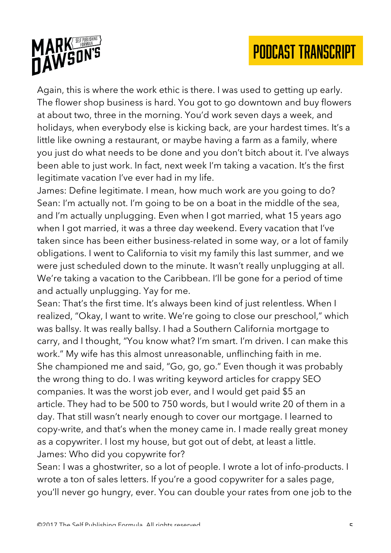

Again, this is where the work ethic is there. I was used to getting up early. The flower shop business is hard. You got to go downtown and buy flowers at about two, three in the morning. You'd work seven days a week, and holidays, when everybody else is kicking back, are your hardest times. It's a little like owning a restaurant, or maybe having a farm as a family, where you just do what needs to be done and you don't bitch about it. I've always been able to just work. In fact, next week I'm taking a vacation. It's the first legitimate vacation I've ever had in my life.

James: Define legitimate. I mean, how much work are you going to do? Sean: I'm actually not. I'm going to be on a boat in the middle of the sea, and I'm actually unplugging. Even when I got married, what 15 years ago when I got married, it was a three day weekend. Every vacation that I've taken since has been either business-related in some way, or a lot of family obligations. I went to California to visit my family this last summer, and we were just scheduled down to the minute. It wasn't really unplugging at all. We're taking a vacation to the Caribbean. I'll be gone for a period of time and actually unplugging. Yay for me.

Sean: That's the first time. It's always been kind of just relentless. When I realized, "Okay, I want to write. We're going to close our preschool," which was ballsy. It was really ballsy. I had a Southern California mortgage to carry, and I thought, "You know what? I'm smart. I'm driven. I can make this work." My wife has this almost unreasonable, unflinching faith in me. She championed me and said, "Go, go, go." Even though it was probably the wrong thing to do. I was writing keyword articles for crappy SEO companies. It was the worst job ever, and I would get paid \$5 an article. They had to be 500 to 750 words, but I would write 20 of them in a day. That still wasn't nearly enough to cover our mortgage. I learned to copy-write, and that's when the money came in. I made really great money as a copywriter. I lost my house, but got out of debt, at least a little. James: Who did you copywrite for?

Sean: I was a ghostwriter, so a lot of people. I wrote a lot of info-products. I wrote a ton of sales letters. If you're a good copywriter for a sales page, you'll never go hungry, ever. You can double your rates from one job to the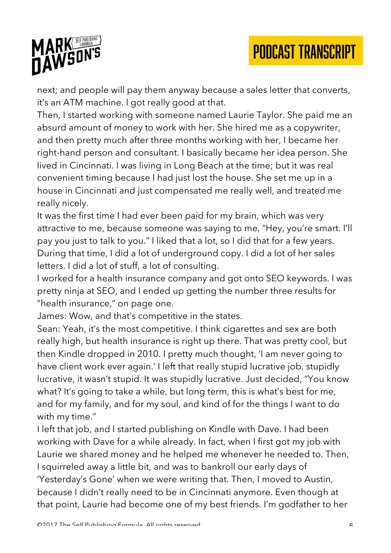

next; and people will pay them anyway because a sales letter that converts, it's an ATM machine. I got really good at that.

Then, I started working with someone named Laurie Taylor. She paid me an absurd amount of money to work with her. She hired me as a copywriter, and then pretty much after three months working with her, I became her right-hand person and consultant. I basically became her idea person. She lived in Cincinnati. I was living in Long Beach at the time; but it was real convenient timing because I had just lost the house. She set me up in a house in Cincinnati and just compensated me really well, and treated me really nicely.

It was the first time I had ever been paid for my brain, which was very attractive to me, because someone was saying to me, "Hey, you're smart. I'll pay you just to talk to you." I liked that a lot, so I did that for a few years. During that time, I did a lot of underground copy. I did a lot of her sales letters. I did a lot of stuff, a lot of consulting.

I worked for a health insurance company and got onto SEO keywords. I was pretty ninja at SEO, and I ended up getting the number three results for "health insurance," on page one.

James: Wow, and that's competitive in the states.

Sean: Yeah, it's the most competitive. I think cigarettes and sex are both really high, but health insurance is right up there. That was pretty cool, but then Kindle dropped in 2010. I pretty much thought, 'I am never going to have client work ever again.' I left that really stupid lucrative job, stupidly lucrative, it wasn't stupid. It was stupidly lucrative. Just decided, "You know what? It's going to take a while, but long term, this is what's best for me, and for my family, and for my soul, and kind of for the things I want to do with my time."

I left that job, and I started publishing on Kindle with Dave. I had been working with Dave for a while already. In fact, when I first got my job with Laurie we shared money and he helped me whenever he needed to. Then, I squirreled away a little bit, and was to bankroll our early days of 'Yesterday's Gone' when we were writing that. Then, I moved to Austin, because I didn't really need to be in Cincinnati anymore. Even though at that point, Laurie had become one of my best friends. I'm godfather to her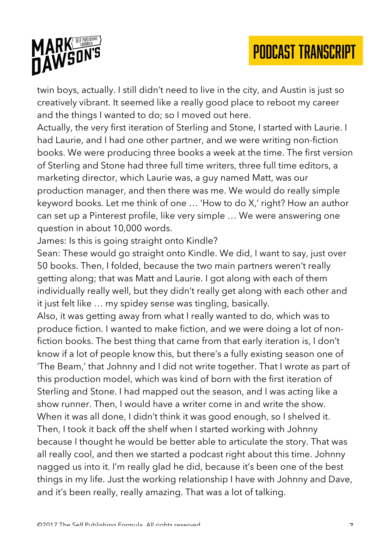

twin boys, actually. I still didn't need to live in the city, and Austin is just so creatively vibrant. It seemed like a really good place to reboot my career and the things I wanted to do; so I moved out here.

Actually, the very first iteration of Sterling and Stone, I started with Laurie. I had Laurie, and I had one other partner, and we were writing non-fiction books. We were producing three books a week at the time. The first version of Sterling and Stone had three full time writers, three full time editors, a marketing director, which Laurie was, a guy named Matt, was our production manager, and then there was me. We would do really simple keyword books. Let me think of one … 'How to do X,' right? How an author can set up a Pinterest profile, like very simple … We were answering one question in about 10,000 words.

James: Is this is going straight onto Kindle?

Sean: These would go straight onto Kindle. We did, I want to say, just over 50 books. Then, I folded, because the two main partners weren't really getting along; that was Matt and Laurie. I got along with each of them individually really well, but they didn't really get along with each other and it just felt like … my spidey sense was tingling, basically.

Also, it was getting away from what I really wanted to do, which was to produce fiction. I wanted to make fiction, and we were doing a lot of nonfiction books. The best thing that came from that early iteration is, I don't know if a lot of people know this, but there's a fully existing season one of 'The Beam,' that Johnny and I did not write together. That I wrote as part of this production model, which was kind of born with the first iteration of Sterling and Stone. I had mapped out the season, and I was acting like a show runner. Then, I would have a writer come in and write the show. When it was all done, I didn't think it was good enough, so I shelved it. Then, I took it back off the shelf when I started working with Johnny because I thought he would be better able to articulate the story. That was all really cool, and then we started a podcast right about this time. Johnny nagged us into it. I'm really glad he did, because it's been one of the best things in my life. Just the working relationship I have with Johnny and Dave, and it's been really, really amazing. That was a lot of talking.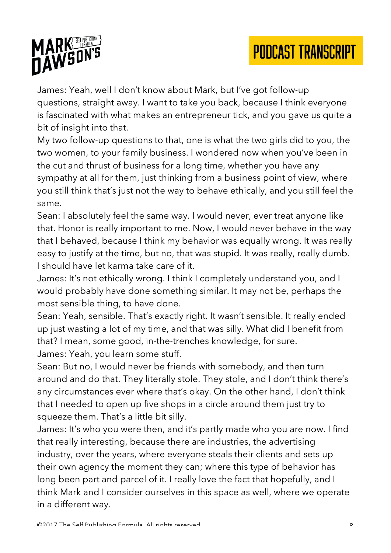

James: Yeah, well I don't know about Mark, but I've got follow-up questions, straight away. I want to take you back, because I think everyone is fascinated with what makes an entrepreneur tick, and you gave us quite a bit of insight into that.

My two follow-up questions to that, one is what the two girls did to you, the two women, to your family business. I wondered now when you've been in the cut and thrust of business for a long time, whether you have any sympathy at all for them, just thinking from a business point of view, where you still think that's just not the way to behave ethically, and you still feel the same.

Sean: I absolutely feel the same way. I would never, ever treat anyone like that. Honor is really important to me. Now, I would never behave in the way that I behaved, because I think my behavior was equally wrong. It was really easy to justify at the time, but no, that was stupid. It was really, really dumb. I should have let karma take care of it.

James: It's not ethically wrong. I think I completely understand you, and I would probably have done something similar. It may not be, perhaps the most sensible thing, to have done.

Sean: Yeah, sensible. That's exactly right. It wasn't sensible. It really ended up just wasting a lot of my time, and that was silly. What did I benefit from that? I mean, some good, in-the-trenches knowledge, for sure. James: Yeah, you learn some stuff.

Sean: But no, I would never be friends with somebody, and then turn around and do that. They literally stole. They stole, and I don't think there's any circumstances ever where that's okay. On the other hand, I don't think that I needed to open up five shops in a circle around them just try to squeeze them. That's a little bit silly.

James: It's who you were then, and it's partly made who you are now. I find that really interesting, because there are industries, the advertising industry, over the years, where everyone steals their clients and sets up their own agency the moment they can; where this type of behavior has long been part and parcel of it. I really love the fact that hopefully, and I think Mark and I consider ourselves in this space as well, where we operate in a different way.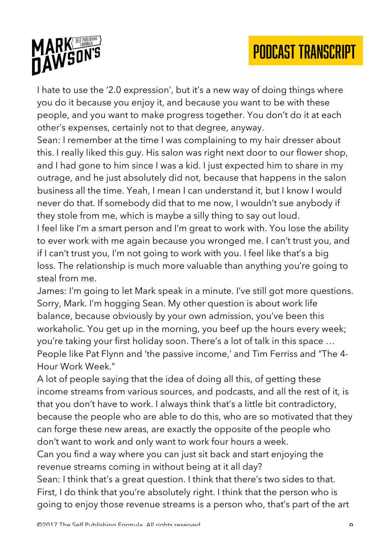

I hate to use the '2.0 expression', but it's a new way of doing things where you do it because you enjoy it, and because you want to be with these people, and you want to make progress together. You don't do it at each other's expenses, certainly not to that degree, anyway.

Sean: I remember at the time I was complaining to my hair dresser about this. I really liked this guy. His salon was right next door to our flower shop, and I had gone to him since I was a kid. I just expected him to share in my outrage, and he just absolutely did not, because that happens in the salon business all the time. Yeah, I mean I can understand it, but I know I would never do that. If somebody did that to me now, I wouldn't sue anybody if they stole from me, which is maybe a silly thing to say out loud.

I feel like I'm a smart person and I'm great to work with. You lose the ability to ever work with me again because you wronged me. I can't trust you, and if I can't trust you, I'm not going to work with you. I feel like that's a big loss. The relationship is much more valuable than anything you're going to steal from me.

James: I'm going to let Mark speak in a minute. I've still got more questions. Sorry, Mark. I'm hogging Sean. My other question is about work life balance, because obviously by your own admission, you've been this workaholic. You get up in the morning, you beef up the hours every week; you're taking your first holiday soon. There's a lot of talk in this space … People like Pat Flynn and 'the passive income,' and Tim Ferriss and "The 4- Hour Work Week."

A lot of people saying that the idea of doing all this, of getting these income streams from various sources, and podcasts, and all the rest of it, is that you don't have to work. I always think that's a little bit contradictory, because the people who are able to do this, who are so motivated that they can forge these new areas, are exactly the opposite of the people who don't want to work and only want to work four hours a week.

Can you find a way where you can just sit back and start enjoying the revenue streams coming in without being at it all day?

Sean: I think that's a great question. I think that there's two sides to that. First, I do think that you're absolutely right. I think that the person who is going to enjoy those revenue streams is a person who, that's part of the art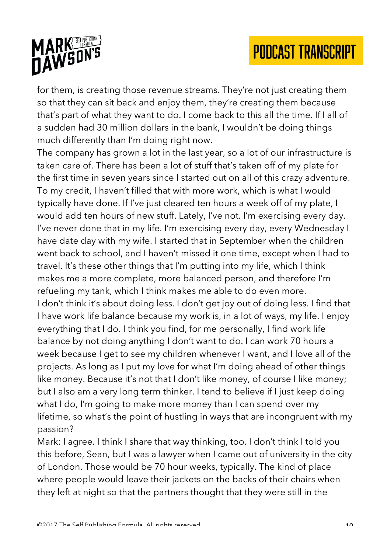

for them, is creating those revenue streams. They're not just creating them so that they can sit back and enjoy them, they're creating them because that's part of what they want to do. I come back to this all the time. If I all of a sudden had 30 million dollars in the bank, I wouldn't be doing things much differently than I'm doing right now.

The company has grown a lot in the last year, so a lot of our infrastructure is taken care of. There has been a lot of stuff that's taken off of my plate for the first time in seven years since I started out on all of this crazy adventure. To my credit, I haven't filled that with more work, which is what I would typically have done. If I've just cleared ten hours a week off of my plate, I would add ten hours of new stuff. Lately, I've not. I'm exercising every day. I've never done that in my life. I'm exercising every day, every Wednesday I have date day with my wife. I started that in September when the children went back to school, and I haven't missed it one time, except when I had to travel. It's these other things that I'm putting into my life, which I think makes me a more complete, more balanced person, and therefore I'm refueling my tank, which I think makes me able to do even more. I don't think it's about doing less. I don't get joy out of doing less. I find that I have work life balance because my work is, in a lot of ways, my life. I enjoy everything that I do. I think you find, for me personally, I find work life balance by not doing anything I don't want to do. I can work 70 hours a week because I get to see my children whenever I want, and I love all of the projects. As long as I put my love for what I'm doing ahead of other things like money. Because it's not that I don't like money, of course I like money; but I also am a very long term thinker. I tend to believe if I just keep doing what I do, I'm going to make more money than I can spend over my lifetime, so what's the point of hustling in ways that are incongruent with my passion?

Mark: I agree. I think I share that way thinking, too. I don't think I told you this before, Sean, but I was a lawyer when I came out of university in the city of London. Those would be 70 hour weeks, typically. The kind of place where people would leave their jackets on the backs of their chairs when they left at night so that the partners thought that they were still in the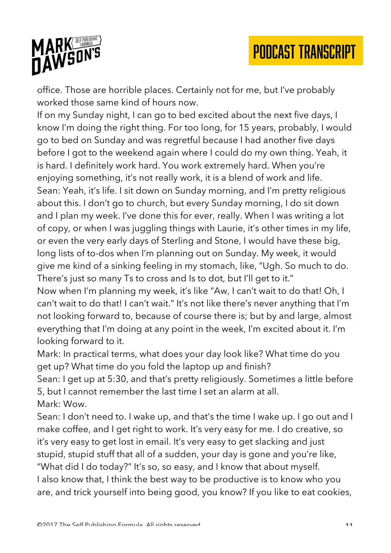



office. Those are horrible places. Certainly not for me, but I've probably worked those same kind of hours now.

If on my Sunday night, I can go to bed excited about the next five days, I know I'm doing the right thing. For too long, for 15 years, probably, I would go to bed on Sunday and was regretful because I had another five days before I got to the weekend again where I could do my own thing. Yeah, it is hard. I definitely work hard. You work extremely hard. When you're enjoying something, it's not really work, it is a blend of work and life. Sean: Yeah, it's life. I sit down on Sunday morning, and I'm pretty religious about this. I don't go to church, but every Sunday morning, I do sit down and I plan my week. I've done this for ever, really. When I was writing a lot of copy, or when I was juggling things with Laurie, it's other times in my life, or even the very early days of Sterling and Stone, I would have these big, long lists of to-dos when I'm planning out on Sunday. My week, it would give me kind of a sinking feeling in my stomach, like, "Ugh. So much to do. There's just so many Ts to cross and Is to dot, but I'll get to it."

Now when I'm planning my week, it's like "Aw, I can't wait to do that! Oh, I can't wait to do that! I can't wait." It's not like there's never anything that I'm not looking forward to, because of course there is; but by and large, almost everything that I'm doing at any point in the week, I'm excited about it. I'm looking forward to it.

Mark: In practical terms, what does your day look like? What time do you get up? What time do you fold the laptop up and finish?

Sean: I get up at 5:30, and that's pretty religiously. Sometimes a little before 5, but I cannot remember the last time I set an alarm at all. Mark: Wow.

Sean: I don't need to. I wake up, and that's the time I wake up. I go out and I make coffee, and I get right to work. It's very easy for me. I do creative, so it's very easy to get lost in email. It's very easy to get slacking and just stupid, stupid stuff that all of a sudden, your day is gone and you're like, "What did I do today?" It's so, so easy, and I know that about myself. I also know that, I think the best way to be productive is to know who you are, and trick yourself into being good, you know? If you like to eat cookies,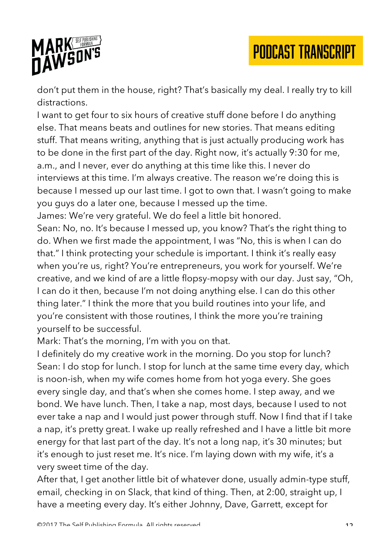



don't put them in the house, right? That's basically my deal. I really try to kill distractions.

I want to get four to six hours of creative stuff done before I do anything else. That means beats and outlines for new stories. That means editing stuff. That means writing, anything that is just actually producing work has to be done in the first part of the day. Right now, it's actually 9:30 for me, a.m., and I never, ever do anything at this time like this. I never do interviews at this time. I'm always creative. The reason we're doing this is because I messed up our last time. I got to own that. I wasn't going to make you guys do a later one, because I messed up the time.

James: We're very grateful. We do feel a little bit honored.

Sean: No, no. It's because I messed up, you know? That's the right thing to do. When we first made the appointment, I was "No, this is when I can do that." I think protecting your schedule is important. I think it's really easy when you're us, right? You're entrepreneurs, you work for yourself. We're creative, and we kind of are a little flopsy-mopsy with our day. Just say, "Oh, I can do it then, because I'm not doing anything else. I can do this other thing later." I think the more that you build routines into your life, and you're consistent with those routines, I think the more you're training yourself to be successful.

Mark: That's the morning, I'm with you on that.

I definitely do my creative work in the morning. Do you stop for lunch? Sean: I do stop for lunch. I stop for lunch at the same time every day, which is noon-ish, when my wife comes home from hot yoga every. She goes every single day, and that's when she comes home. I step away, and we bond. We have lunch. Then, I take a nap, most days, because I used to not ever take a nap and I would just power through stuff. Now I find that if I take a nap, it's pretty great. I wake up really refreshed and I have a little bit more energy for that last part of the day. It's not a long nap, it's 30 minutes; but it's enough to just reset me. It's nice. I'm laying down with my wife, it's a very sweet time of the day.

After that, I get another little bit of whatever done, usually admin-type stuff, email, checking in on Slack, that kind of thing. Then, at 2:00, straight up, I have a meeting every day. It's either Johnny, Dave, Garrett, except for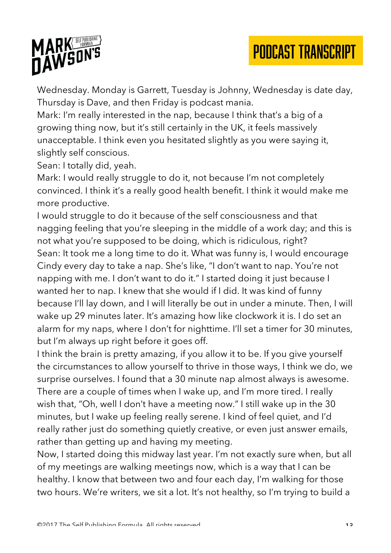

Wednesday. Monday is Garrett, Tuesday is Johnny, Wednesday is date day, Thursday is Dave, and then Friday is podcast mania.

Mark: I'm really interested in the nap, because I think that's a big of a growing thing now, but it's still certainly in the UK, it feels massively unacceptable. I think even you hesitated slightly as you were saying it, slightly self conscious.

Sean: I totally did, yeah.

Mark: I would really struggle to do it, not because I'm not completely convinced. I think it's a really good health benefit. I think it would make me more productive.

I would struggle to do it because of the self consciousness and that nagging feeling that you're sleeping in the middle of a work day; and this is not what you're supposed to be doing, which is ridiculous, right? Sean: It took me a long time to do it. What was funny is, I would encourage Cindy every day to take a nap. She's like, "I don't want to nap. You're not napping with me. I don't want to do it." I started doing it just because I wanted her to nap. I knew that she would if I did. It was kind of funny because I'll lay down, and I will literally be out in under a minute. Then, I will wake up 29 minutes later. It's amazing how like clockwork it is. I do set an alarm for my naps, where I don't for nighttime. I'll set a timer for 30 minutes, but I'm always up right before it goes off.

I think the brain is pretty amazing, if you allow it to be. If you give yourself the circumstances to allow yourself to thrive in those ways, I think we do, we surprise ourselves. I found that a 30 minute nap almost always is awesome. There are a couple of times when I wake up, and I'm more tired. I really wish that, "Oh, well I don't have a meeting now." I still wake up in the 30 minutes, but I wake up feeling really serene. I kind of feel quiet, and I'd really rather just do something quietly creative, or even just answer emails, rather than getting up and having my meeting.

Now, I started doing this midway last year. I'm not exactly sure when, but all of my meetings are walking meetings now, which is a way that I can be healthy. I know that between two and four each day, I'm walking for those two hours. We're writers, we sit a lot. It's not healthy, so I'm trying to build a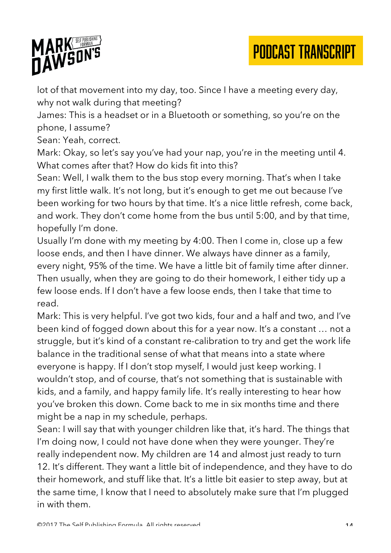

lot of that movement into my day, too. Since I have a meeting every day, why not walk during that meeting?

PODCAST TRANSCRIPT

James: This is a headset or in a Bluetooth or something, so you're on the phone, I assume?

Sean: Yeah, correct.

Mark: Okay, so let's say you've had your nap, you're in the meeting until 4. What comes after that? How do kids fit into this?

Sean: Well, I walk them to the bus stop every morning. That's when I take my first little walk. It's not long, but it's enough to get me out because I've been working for two hours by that time. It's a nice little refresh, come back, and work. They don't come home from the bus until 5:00, and by that time, hopefully I'm done.

Usually I'm done with my meeting by 4:00. Then I come in, close up a few loose ends, and then I have dinner. We always have dinner as a family, every night, 95% of the time. We have a little bit of family time after dinner. Then usually, when they are going to do their homework, I either tidy up a few loose ends. If I don't have a few loose ends, then I take that time to read.

Mark: This is very helpful. I've got two kids, four and a half and two, and I've been kind of fogged down about this for a year now. It's a constant … not a struggle, but it's kind of a constant re-calibration to try and get the work life balance in the traditional sense of what that means into a state where everyone is happy. If I don't stop myself, I would just keep working. I wouldn't stop, and of course, that's not something that is sustainable with kids, and a family, and happy family life. It's really interesting to hear how you've broken this down. Come back to me in six months time and there might be a nap in my schedule, perhaps.

Sean: I will say that with younger children like that, it's hard. The things that I'm doing now, I could not have done when they were younger. They're really independent now. My children are 14 and almost just ready to turn 12. It's different. They want a little bit of independence, and they have to do their homework, and stuff like that. It's a little bit easier to step away, but at the same time, I know that I need to absolutely make sure that I'm plugged in with them.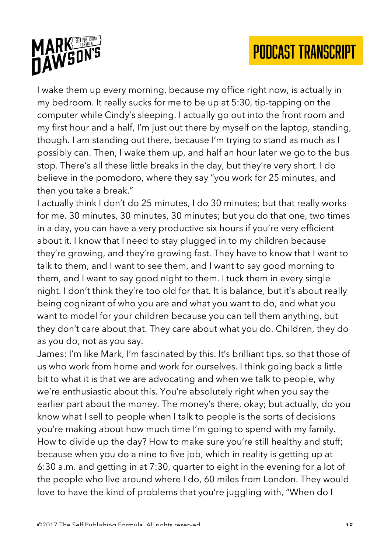

I wake them up every morning, because my office right now, is actually in my bedroom. It really sucks for me to be up at 5:30, tip-tapping on the computer while Cindy's sleeping. I actually go out into the front room and my first hour and a half, I'm just out there by myself on the laptop, standing, though. I am standing out there, because I'm trying to stand as much as I possibly can. Then, I wake them up, and half an hour later we go to the bus stop. There's all these little breaks in the day, but they're very short. I do believe in the pomodoro, where they say "you work for 25 minutes, and then you take a break."

I actually think I don't do 25 minutes, I do 30 minutes; but that really works for me. 30 minutes, 30 minutes, 30 minutes; but you do that one, two times in a day, you can have a very productive six hours if you're very efficient about it. I know that I need to stay plugged in to my children because they're growing, and they're growing fast. They have to know that I want to talk to them, and I want to see them, and I want to say good morning to them, and I want to say good night to them. I tuck them in every single night. I don't think they're too old for that. It is balance, but it's about really being cognizant of who you are and what you want to do, and what you want to model for your children because you can tell them anything, but they don't care about that. They care about what you do. Children, they do as you do, not as you say.

James: I'm like Mark, I'm fascinated by this. It's brilliant tips, so that those of us who work from home and work for ourselves. I think going back a little bit to what it is that we are advocating and when we talk to people, why we're enthusiastic about this. You're absolutely right when you say the earlier part about the money. The money's there, okay; but actually, do you know what I sell to people when I talk to people is the sorts of decisions you're making about how much time I'm going to spend with my family. How to divide up the day? How to make sure you're still healthy and stuff; because when you do a nine to five job, which in reality is getting up at 6:30 a.m. and getting in at 7:30, quarter to eight in the evening for a lot of the people who live around where I do, 60 miles from London. They would love to have the kind of problems that you're juggling with, "When do I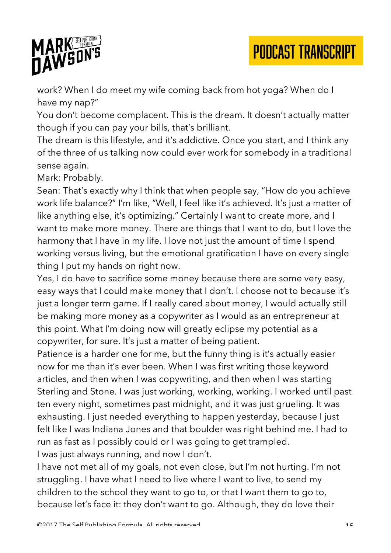

work? When I do meet my wife coming back from hot yoga? When do I have my nap?"

You don't become complacent. This is the dream. It doesn't actually matter though if you can pay your bills, that's brilliant.

PODCAST TRANSCRIPT

The dream is this lifestyle, and it's addictive. Once you start, and I think any of the three of us talking now could ever work for somebody in a traditional sense again.

Mark: Probably.

Sean: That's exactly why I think that when people say, "How do you achieve work life balance?" I'm like, "Well, I feel like it's achieved. It's just a matter of like anything else, it's optimizing." Certainly I want to create more, and I want to make more money. There are things that I want to do, but I love the harmony that I have in my life. I love not just the amount of time I spend working versus living, but the emotional gratification I have on every single thing I put my hands on right now.

Yes, I do have to sacrifice some money because there are some very easy, easy ways that I could make money that I don't. I choose not to because it's just a longer term game. If I really cared about money, I would actually still be making more money as a copywriter as I would as an entrepreneur at this point. What I'm doing now will greatly eclipse my potential as a copywriter, for sure. It's just a matter of being patient.

Patience is a harder one for me, but the funny thing is it's actually easier now for me than it's ever been. When I was first writing those keyword articles, and then when I was copywriting, and then when I was starting Sterling and Stone. I was just working, working, working. I worked until past ten every night, sometimes past midnight, and it was just grueling. It was exhausting. I just needed everything to happen yesterday, because I just felt like I was Indiana Jones and that boulder was right behind me. I had to run as fast as I possibly could or I was going to get trampled. I was just always running, and now I don't.

I have not met all of my goals, not even close, but I'm not hurting. I'm not struggling. I have what I need to live where I want to live, to send my children to the school they want to go to, or that I want them to go to, because let's face it: they don't want to go. Although, they do love their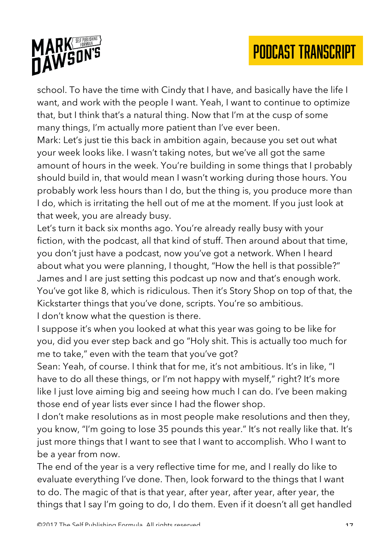

school. To have the time with Cindy that I have, and basically have the life I want, and work with the people I want. Yeah, I want to continue to optimize that, but I think that's a natural thing. Now that I'm at the cusp of some many things, I'm actually more patient than I've ever been.

Mark: Let's just tie this back in ambition again, because you set out what your week looks like. I wasn't taking notes, but we've all got the same amount of hours in the week. You're building in some things that I probably should build in, that would mean I wasn't working during those hours. You probably work less hours than I do, but the thing is, you produce more than I do, which is irritating the hell out of me at the moment. If you just look at that week, you are already busy.

Let's turn it back six months ago. You're already really busy with your fiction, with the podcast, all that kind of stuff. Then around about that time, you don't just have a podcast, now you've got a network. When I heard about what you were planning, I thought, "How the hell is that possible?" James and I are just setting this podcast up now and that's enough work. You've got like 8, which is ridiculous. Then it's Story Shop on top of that, the Kickstarter things that you've done, scripts. You're so ambitious. I don't know what the question is there.

I suppose it's when you looked at what this year was going to be like for you, did you ever step back and go "Holy shit. This is actually too much for me to take," even with the team that you've got?

Sean: Yeah, of course. I think that for me, it's not ambitious. It's in like, "I have to do all these things, or I'm not happy with myself," right? It's more like I just love aiming big and seeing how much I can do. I've been making those end of year lists ever since I had the flower shop.

I don't make resolutions as in most people make resolutions and then they, you know, "I'm going to lose 35 pounds this year." It's not really like that. It's just more things that I want to see that I want to accomplish. Who I want to be a year from now.

The end of the year is a very reflective time for me, and I really do like to evaluate everything I've done. Then, look forward to the things that I want to do. The magic of that is that year, after year, after year, after year, the things that I say I'm going to do, I do them. Even if it doesn't all get handled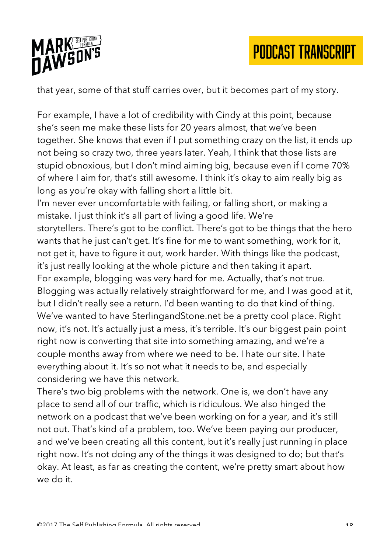



that year, some of that stuff carries over, but it becomes part of my story.

For example, I have a lot of credibility with Cindy at this point, because she's seen me make these lists for 20 years almost, that we've been together. She knows that even if I put something crazy on the list, it ends up not being so crazy two, three years later. Yeah, I think that those lists are stupid obnoxious, but I don't mind aiming big, because even if I come 70% of where I aim for, that's still awesome. I think it's okay to aim really big as long as you're okay with falling short a little bit.

I'm never ever uncomfortable with failing, or falling short, or making a mistake. I just think it's all part of living a good life. We're storytellers. There's got to be conflict. There's got to be things that the hero wants that he just can't get. It's fine for me to want something, work for it, not get it, have to figure it out, work harder. With things like the podcast, it's just really looking at the whole picture and then taking it apart. For example, blogging was very hard for me. Actually, that's not true. Blogging was actually relatively straightforward for me, and I was good at it, but I didn't really see a return. I'd been wanting to do that kind of thing. We've wanted to have SterlingandStone.net be a pretty cool place. Right now, it's not. It's actually just a mess, it's terrible. It's our biggest pain point right now is converting that site into something amazing, and we're a couple months away from where we need to be. I hate our site. I hate everything about it. It's so not what it needs to be, and especially considering we have this network.

There's two big problems with the network. One is, we don't have any place to send all of our traffic, which is ridiculous. We also hinged the network on a podcast that we've been working on for a year, and it's still not out. That's kind of a problem, too. We've been paying our producer, and we've been creating all this content, but it's really just running in place right now. It's not doing any of the things it was designed to do; but that's okay. At least, as far as creating the content, we're pretty smart about how we do it.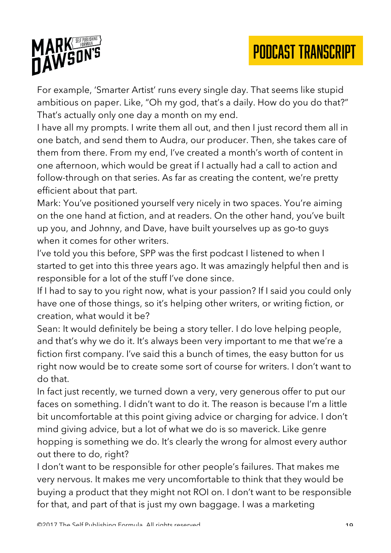

For example, 'Smarter Artist' runs every single day. That seems like stupid ambitious on paper. Like, "Oh my god, that's a daily. How do you do that?" That's actually only one day a month on my end.

I have all my prompts. I write them all out, and then I just record them all in one batch, and send them to Audra, our producer. Then, she takes care of them from there. From my end, I've created a month's worth of content in one afternoon, which would be great if I actually had a call to action and follow-through on that series. As far as creating the content, we're pretty efficient about that part.

Mark: You've positioned yourself very nicely in two spaces. You're aiming on the one hand at fiction, and at readers. On the other hand, you've built up you, and Johnny, and Dave, have built yourselves up as go-to guys when it comes for other writers.

I've told you this before, SPP was the first podcast I listened to when I started to get into this three years ago. It was amazingly helpful then and is responsible for a lot of the stuff I've done since.

If I had to say to you right now, what is your passion? If I said you could only have one of those things, so it's helping other writers, or writing fiction, or creation, what would it be?

Sean: It would definitely be being a story teller. I do love helping people, and that's why we do it. It's always been very important to me that we're a fiction first company. I've said this a bunch of times, the easy button for us right now would be to create some sort of course for writers. I don't want to do that.

In fact just recently, we turned down a very, very generous offer to put our faces on something. I didn't want to do it. The reason is because I'm a little bit uncomfortable at this point giving advice or charging for advice. I don't mind giving advice, but a lot of what we do is so maverick. Like genre hopping is something we do. It's clearly the wrong for almost every author out there to do, right?

I don't want to be responsible for other people's failures. That makes me very nervous. It makes me very uncomfortable to think that they would be buying a product that they might not ROI on. I don't want to be responsible for that, and part of that is just my own baggage. I was a marketing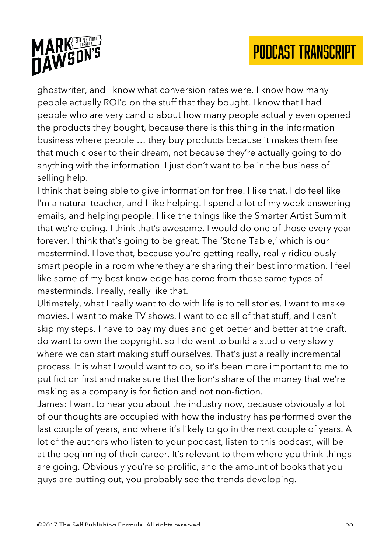

ghostwriter, and I know what conversion rates were. I know how many people actually ROI'd on the stuff that they bought. I know that I had people who are very candid about how many people actually even opened the products they bought, because there is this thing in the information business where people … they buy products because it makes them feel that much closer to their dream, not because they're actually going to do anything with the information. I just don't want to be in the business of selling help.

I think that being able to give information for free. I like that. I do feel like I'm a natural teacher, and I like helping. I spend a lot of my week answering emails, and helping people. I like the things like the Smarter Artist Summit that we're doing. I think that's awesome. I would do one of those every year forever. I think that's going to be great. The 'Stone Table,' which is our mastermind. I love that, because you're getting really, really ridiculously smart people in a room where they are sharing their best information. I feel like some of my best knowledge has come from those same types of masterminds. I really, really like that.

Ultimately, what I really want to do with life is to tell stories. I want to make movies. I want to make TV shows. I want to do all of that stuff, and I can't skip my steps. I have to pay my dues and get better and better at the craft. I do want to own the copyright, so I do want to build a studio very slowly where we can start making stuff ourselves. That's just a really incremental process. It is what I would want to do, so it's been more important to me to put fiction first and make sure that the lion's share of the money that we're making as a company is for fiction and not non-fiction.

James: I want to hear you about the industry now, because obviously a lot of our thoughts are occupied with how the industry has performed over the last couple of years, and where it's likely to go in the next couple of years. A lot of the authors who listen to your podcast, listen to this podcast, will be at the beginning of their career. It's relevant to them where you think things are going. Obviously you're so prolific, and the amount of books that you guys are putting out, you probably see the trends developing.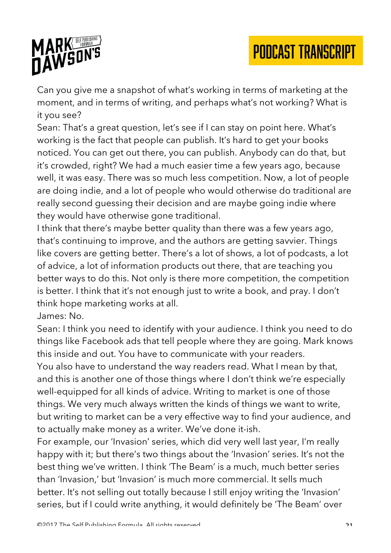



Can you give me a snapshot of what's working in terms of marketing at the moment, and in terms of writing, and perhaps what's not working? What is it you see?

Sean: That's a great question, let's see if I can stay on point here. What's working is the fact that people can publish. It's hard to get your books noticed. You can get out there, you can publish. Anybody can do that, but it's crowded, right? We had a much easier time a few years ago, because well, it was easy. There was so much less competition. Now, a lot of people are doing indie, and a lot of people who would otherwise do traditional are really second guessing their decision and are maybe going indie where they would have otherwise gone traditional.

I think that there's maybe better quality than there was a few years ago, that's continuing to improve, and the authors are getting savvier. Things like covers are getting better. There's a lot of shows, a lot of podcasts, a lot of advice, a lot of information products out there, that are teaching you better ways to do this. Not only is there more competition, the competition is better. I think that it's not enough just to write a book, and pray. I don't think hope marketing works at all.

James: No.

Sean: I think you need to identify with your audience. I think you need to do things like Facebook ads that tell people where they are going. Mark knows this inside and out. You have to communicate with your readers. You also have to understand the way readers read. What I mean by that, and this is another one of those things where I don't think we're especially well-equipped for all kinds of advice. Writing to market is one of those things. We very much always written the kinds of things we want to write, but writing to market can be a very effective way to find your audience, and to actually make money as a writer. We've done it-ish.

For example, our 'Invasion' series, which did very well last year, I'm really happy with it; but there's two things about the 'Invasion' series. It's not the best thing we've written. I think 'The Beam' is a much, much better series than 'Invasion,' but 'Invasion' is much more commercial. It sells much better. It's not selling out totally because I still enjoy writing the 'Invasion' series, but if I could write anything, it would definitely be 'The Beam' over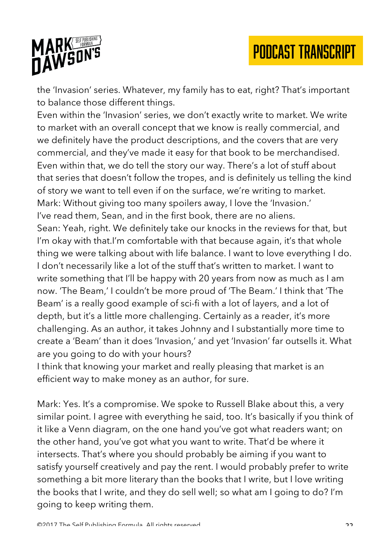

the 'Invasion' series. Whatever, my family has to eat, right? That's important to balance those different things.

Even within the 'Invasion' series, we don't exactly write to market. We write to market with an overall concept that we know is really commercial, and we definitely have the product descriptions, and the covers that are very commercial, and they've made it easy for that book to be merchandised. Even within that, we do tell the story our way. There's a lot of stuff about that series that doesn't follow the tropes, and is definitely us telling the kind of story we want to tell even if on the surface, we're writing to market. Mark: Without giving too many spoilers away, I love the 'Invasion.' I've read them, Sean, and in the first book, there are no aliens. Sean: Yeah, right. We definitely take our knocks in the reviews for that, but I'm okay with that.I'm comfortable with that because again, it's that whole thing we were talking about with life balance. I want to love everything I do. I don't necessarily like a lot of the stuff that's written to market. I want to write something that I'll be happy with 20 years from now as much as I am now. 'The Beam,' I couldn't be more proud of 'The Beam.' I think that 'The Beam' is a really good example of sci-fi with a lot of layers, and a lot of depth, but it's a little more challenging. Certainly as a reader, it's more challenging. As an author, it takes Johnny and I substantially more time to create a 'Beam' than it does 'Invasion,' and yet 'Invasion' far outsells it. What are you going to do with your hours?

I think that knowing your market and really pleasing that market is an efficient way to make money as an author, for sure.

Mark: Yes. It's a compromise. We spoke to Russell Blake about this, a very similar point. I agree with everything he said, too. It's basically if you think of it like a Venn diagram, on the one hand you've got what readers want; on the other hand, you've got what you want to write. That'd be where it intersects. That's where you should probably be aiming if you want to satisfy yourself creatively and pay the rent. I would probably prefer to write something a bit more literary than the books that I write, but I love writing the books that I write, and they do sell well; so what am I going to do? I'm going to keep writing them.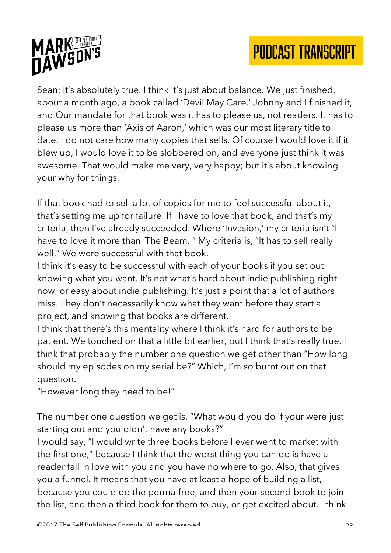



Sean: It's absolutely true. I think it's just about balance. We just finished, about a month ago, a book called 'Devil May Care.' Johnny and I finished it, and Our mandate for that book was it has to please us, not readers. It has to please us more than 'Axis of Aaron,' which was our most literary title to date. I do not care how many copies that sells. Of course I would love it if it blew up, I would love it to be slobbered on, and everyone just think it was awesome. That would make me very, very happy; but it's about knowing your why for things.

If that book had to sell a lot of copies for me to feel successful about it, that's setting me up for failure. If I have to love that book, and that's my criteria, then I've already succeeded. Where 'Invasion,' my criteria isn't "I have to love it more than 'The Beam.'" My criteria is, "It has to sell really well." We were successful with that book.

I think it's easy to be successful with each of your books if you set out knowing what you want. It's not what's hard about indie publishing right now, or easy about indie publishing. It's just a point that a lot of authors miss. They don't necessarily know what they want before they start a project, and knowing that books are different.

I think that there's this mentality where I think it's hard for authors to be patient. We touched on that a little bit earlier, but I think that's really true. I think that probably the number one question we get other than "How long should my episodes on my serial be?" Which, I'm so burnt out on that question.

"However long they need to be!"

The number one question we get is, "What would you do if your were just starting out and you didn't have any books?"

I would say, "I would write three books before I ever went to market with the first one," because I think that the worst thing you can do is have a reader fall in love with you and you have no where to go. Also, that gives you a funnel. It means that you have at least a hope of building a list, because you could do the perma-free, and then your second book to join the list, and then a third book for them to buy, or get excited about. I think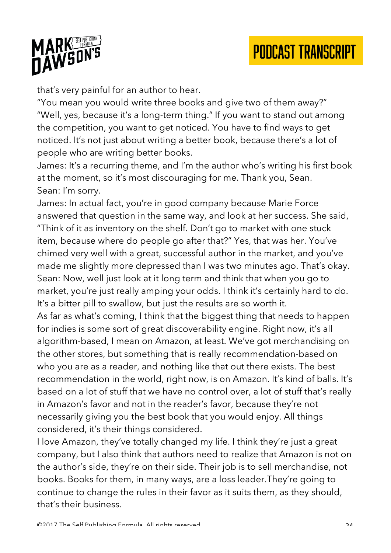

that's very painful for an author to hear.

"You mean you would write three books and give two of them away?" "Well, yes, because it's a long-term thing." If you want to stand out among the competition, you want to get noticed. You have to find ways to get noticed. It's not just about writing a better book, because there's a lot of people who are writing better books.

James: It's a recurring theme, and I'm the author who's writing his first book at the moment, so it's most discouraging for me. Thank you, Sean. Sean: I'm sorry.

James: In actual fact, you're in good company because Marie Force answered that question in the same way, and look at her success. She said, "Think of it as inventory on the shelf. Don't go to market with one stuck item, because where do people go after that?" Yes, that was her. You've chimed very well with a great, successful author in the market, and you've made me slightly more depressed than I was two minutes ago. That's okay. Sean: Now, well just look at it long term and think that when you go to market, you're just really amping your odds. I think it's certainly hard to do. It's a bitter pill to swallow, but just the results are so worth it.

As far as what's coming, I think that the biggest thing that needs to happen for indies is some sort of great discoverability engine. Right now, it's all algorithm-based, I mean on Amazon, at least. We've got merchandising on the other stores, but something that is really recommendation-based on who you are as a reader, and nothing like that out there exists. The best recommendation in the world, right now, is on Amazon. It's kind of balls. It's based on a lot of stuff that we have no control over, a lot of stuff that's really in Amazon's favor and not in the reader's favor, because they're not necessarily giving you the best book that you would enjoy. All things considered, it's their things considered.

I love Amazon, they've totally changed my life. I think they're just a great company, but I also think that authors need to realize that Amazon is not on the author's side, they're on their side. Their job is to sell merchandise, not books. Books for them, in many ways, are a loss leader.They're going to continue to change the rules in their favor as it suits them, as they should, that's their business.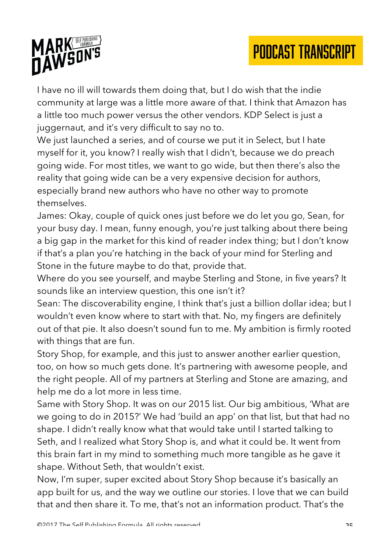

I have no ill will towards them doing that, but I do wish that the indie community at large was a little more aware of that. I think that Amazon has a little too much power versus the other vendors. KDP Select is just a juggernaut, and it's very difficult to say no to.

We just launched a series, and of course we put it in Select, but I hate myself for it, you know? I really wish that I didn't, because we do preach going wide. For most titles, we want to go wide, but then there's also the reality that going wide can be a very expensive decision for authors, especially brand new authors who have no other way to promote themselves.

James: Okay, couple of quick ones just before we do let you go, Sean, for your busy day. I mean, funny enough, you're just talking about there being a big gap in the market for this kind of reader index thing; but I don't know if that's a plan you're hatching in the back of your mind for Sterling and Stone in the future maybe to do that, provide that.

Where do you see yourself, and maybe Sterling and Stone, in five years? It sounds like an interview question, this one isn't it?

Sean: The discoverability engine, I think that's just a billion dollar idea; but I wouldn't even know where to start with that. No, my fingers are definitely out of that pie. It also doesn't sound fun to me. My ambition is firmly rooted with things that are fun.

Story Shop, for example, and this just to answer another earlier question, too, on how so much gets done. It's partnering with awesome people, and the right people. All of my partners at Sterling and Stone are amazing, and help me do a lot more in less time.

Same with Story Shop. It was on our 2015 list. Our big ambitious, 'What are we going to do in 2015?' We had 'build an app' on that list, but that had no shape. I didn't really know what that would take until I started talking to Seth, and I realized what Story Shop is, and what it could be. It went from this brain fart in my mind to something much more tangible as he gave it shape. Without Seth, that wouldn't exist.

Now, I'm super, super excited about Story Shop because it's basically an app built for us, and the way we outline our stories. I love that we can build that and then share it. To me, that's not an information product. That's the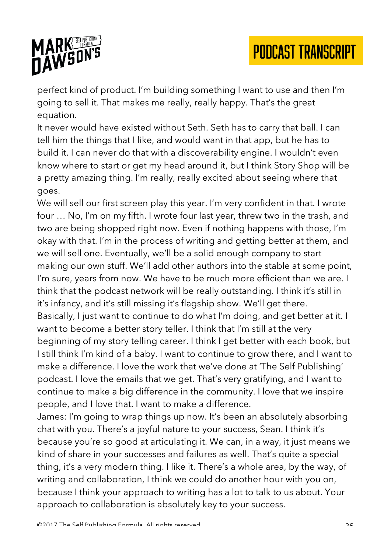

perfect kind of product. I'm building something I want to use and then I'm going to sell it. That makes me really, really happy. That's the great equation.

It never would have existed without Seth. Seth has to carry that ball. I can tell him the things that I like, and would want in that app, but he has to build it. I can never do that with a discoverability engine. I wouldn't even know where to start or get my head around it, but I think Story Shop will be a pretty amazing thing. I'm really, really excited about seeing where that goes.

We will sell our first screen play this year. I'm very confident in that. I wrote four … No, I'm on my fifth. I wrote four last year, threw two in the trash, and two are being shopped right now. Even if nothing happens with those, I'm okay with that. I'm in the process of writing and getting better at them, and we will sell one. Eventually, we'll be a solid enough company to start making our own stuff. We'll add other authors into the stable at some point, I'm sure, years from now. We have to be much more efficient than we are. I think that the podcast network will be really outstanding. I think it's still in it's infancy, and it's still missing it's flagship show. We'll get there. Basically, I just want to continue to do what I'm doing, and get better at it. I want to become a better story teller. I think that I'm still at the very beginning of my story telling career. I think I get better with each book, but I still think I'm kind of a baby. I want to continue to grow there, and I want to make a difference. I love the work that we've done at 'The Self Publishing' podcast. I love the emails that we get. That's very gratifying, and I want to continue to make a big difference in the community. I love that we inspire people, and I love that. I want to make a difference.

James: I'm going to wrap things up now. It's been an absolutely absorbing chat with you. There's a joyful nature to your success, Sean. I think it's because you're so good at articulating it. We can, in a way, it just means we kind of share in your successes and failures as well. That's quite a special thing, it's a very modern thing. I like it. There's a whole area, by the way, of writing and collaboration, I think we could do another hour with you on, because I think your approach to writing has a lot to talk to us about. Your approach to collaboration is absolutely key to your success.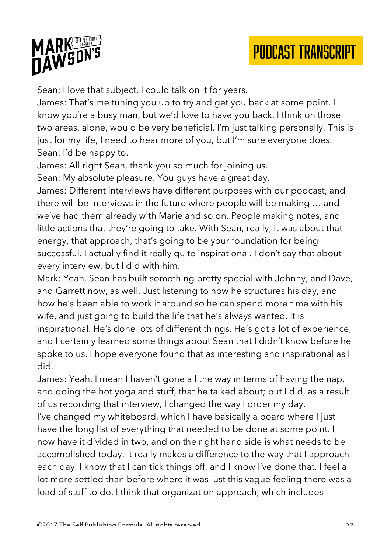

Sean: I love that subject. I could talk on it for years.

James: That's me tuning you up to try and get you back at some point. I know you're a busy man, but we'd love to have you back. I think on those two areas, alone, would be very beneficial. I'm just talking personally. This is just for my life, I need to hear more of you, but I'm sure everyone does. Sean: I'd be happy to.

James: All right Sean, thank you so much for joining us.

Sean: My absolute pleasure. You guys have a great day.

James: Different interviews have different purposes with our podcast, and there will be interviews in the future where people will be making … and we've had them already with Marie and so on. People making notes, and little actions that they're going to take. With Sean, really, it was about that energy, that approach, that's going to be your foundation for being successful. I actually find it really quite inspirational. I don't say that about every interview, but I did with him.

Mark: Yeah, Sean has built something pretty special with Johnny, and Dave, and Garrett now, as well. Just listening to how he structures his day, and how he's been able to work it around so he can spend more time with his wife, and just going to build the life that he's always wanted. It is inspirational. He's done lots of different things. He's got a lot of experience, and I certainly learned some things about Sean that I didn't know before he spoke to us. I hope everyone found that as interesting and inspirational as I did.

James: Yeah, I mean I haven't gone all the way in terms of having the nap, and doing the hot yoga and stuff, that he talked about; but I did, as a result of us recording that interview, I changed the way I order my day. I've changed my whiteboard, which I have basically a board where I just have the long list of everything that needed to be done at some point. I now have it divided in two, and on the right hand side is what needs to be accomplished today. It really makes a difference to the way that I approach each day. I know that I can tick things off, and I know I've done that. I feel a lot more settled than before where it was just this vague feeling there was a load of stuff to do. I think that organization approach, which includes